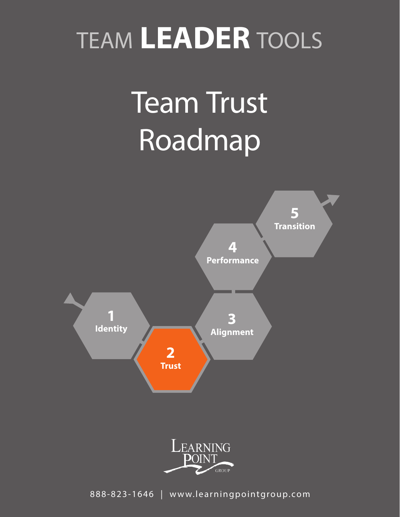# TEAM **LEADER** TOOLS

# Team Trust Roadmap





888-823-1646 | www.learningpointgroup.com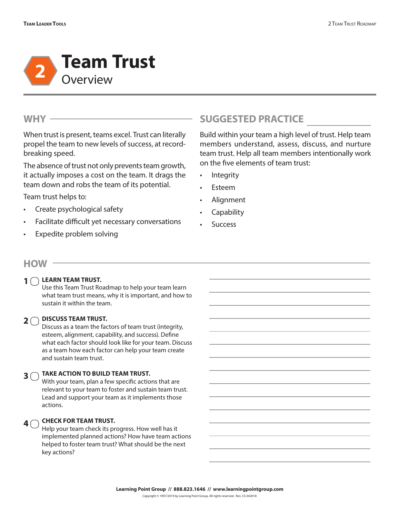

## **WHY**

When trust is present, teams excel. Trust can literally propel the team to new levels of success, at recordbreaking speed.

The absence of trust not only prevents team growth, it actually imposes a cost on the team. It drags the team down and robs the team of its potential.

Team trust helps to:

- Create psychological safety
- Facilitate difficult yet necessary conversations
- Expedite problem solving

# **SUGGESTED PRACTICE**

Build within your team a high level of trust. Help team members understand, assess, discuss, and nurture team trust. Help all team members intentionally work on the five elements of team trust:

- Integrity
- **Esteem**
- Alignment
- **Capability**
- **Success**

## **HOW**

## **1** O LEARN TEAM TRUST.

Use this Team Trust Roadmap to help your team learn what team trust means, why it is important, and how to sustain it within the team.

# **DISCUSS TEAM TRUST. 2**

Discuss as a team the factors of team trust (integrity, esteem, alignment, capability, and success). Define what each factor should look like for your team. Discuss as a team how each factor can help your team create and sustain team trust.

#### **TAKE ACTION TO BUILD TEAM TRUST. 3**

With your team, plan a few specific actions that are relevant to your team to foster and sustain team trust. Lead and support your team as it implements those actions.

#### **CHECK FOR TEAM TRUST.**   $4<sup>2</sup>$

Help your team check its progress. How well has it implemented planned actions? How have team actions helped to foster team trust? What should be the next key actions?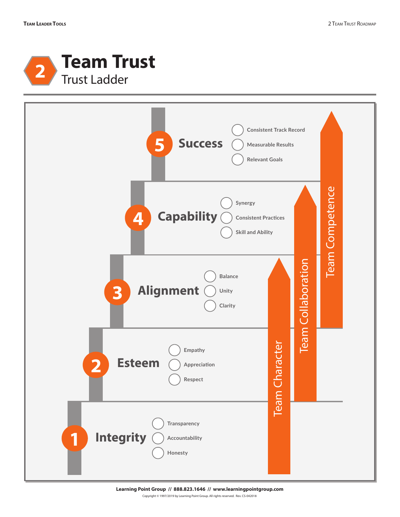



**Learning Point Group // 888.823.1646 // www.learningpointgroup.com** Copyright © 1997/2019 by Learning Point Group. All rights reserved. Rev. CS-042018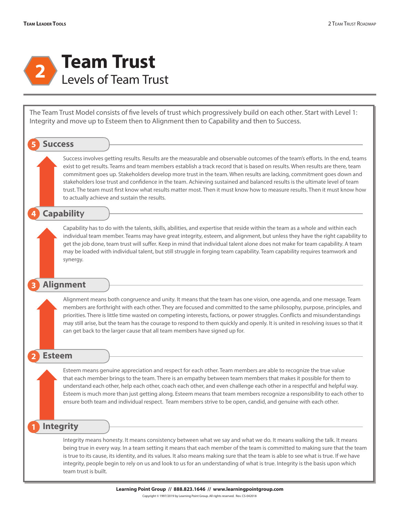

The Team Trust Model consists of five levels of trust which progressively build on each other. Start with Level 1: Integrity and move up to Esteem then to Alignment then to Capability and then to Success.

### **5 Success**

Success involves getting results. Results are the measurable and observable outcomes of the team's efforts. In the end, teams exist to get results. Teams and team members establish a track record that is based on results. When results are there, team commitment goes up. Stakeholders develop more trust in the team. When results are lacking, commitment goes down and stakeholders lose trust and confidence in the team. Achieving sustained and balanced results is the ultimate level of team trust. The team must first know what results matter most. Then it must know how to measure results. Then it must know how to actually achieve and sustain the results.

## **4 Capability**

Capability has to do with the talents, skills, abilities, and expertise that reside within the team as a whole and within each individual team member. Teams may have great integrity, esteem, and alignment, but unless they have the right capability to get the job done, team trust will suffer. Keep in mind that individual talent alone does not make for team capability. A team may be loaded with individual talent, but still struggle in forging team capability. Team capability requires teamwork and synergy.

## **3 Alignment**

Alignment means both congruence and unity. It means that the team has one vision, one agenda, and one message. Team members are forthright with each other. They are focused and committed to the same philosophy, purpose, principles, and priorities. There is little time wasted on competing interests, factions, or power struggles. Conflicts and misunderstandings may still arise, but the team has the courage to respond to them quickly and openly. It is united in resolving issues so that it can get back to the larger cause that all team members have signed up for.

### **2 Esteem**

Esteem means genuine appreciation and respect for each other. Team members are able to recognize the true value that each member brings to the team. There is an empathy between team members that makes it possible for them to understand each other, help each other, coach each other, and even challenge each other in a respectful and helpful way. Esteem is much more than just getting along. Esteem means that team members recognize a responsibility to each other to ensure both team and individual respect. Team members strive to be open, candid, and genuine with each other.

## **1 Integrity**

Integrity means honesty. It means consistency between what we say and what we do. It means walking the talk. It means being true in every way. In a team setting it means that each member of the team is committed to making sure that the team is true to its cause, its identity, and its values. It also means making sure that the team is able to see what is true. If we have integrity, people begin to rely on us and look to us for an understanding of what is true. Integrity is the basis upon which team trust is built.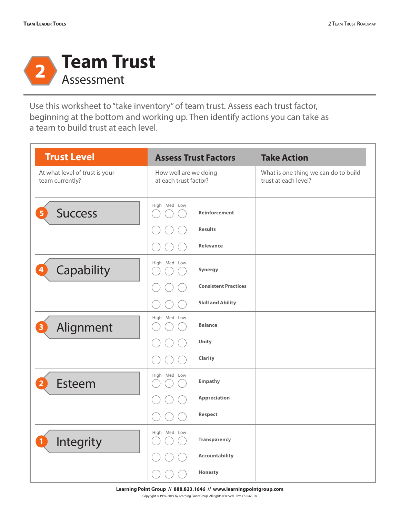

Use this worksheet to "take inventory" of team trust. Assess each trust factor, beginning at the bottom and working up. Then identify actions you can take as a team to build trust at each level.

| <b>Trust Level</b>                                |                                                | <b>Assess Trust Factors</b>            | <b>Take Action</b>                                           |
|---------------------------------------------------|------------------------------------------------|----------------------------------------|--------------------------------------------------------------|
| At what level of trust is your<br>team currently? | How well are we doing<br>at each trust factor? |                                        | What is one thing we can do to build<br>trust at each level? |
| <b>Success</b><br>5                               | High Med Low                                   | <b>Reinforcement</b><br><b>Results</b> |                                                              |
|                                                   |                                                | <b>Relevance</b>                       |                                                              |
| Capability<br>4                                   | High Med Low                                   | Synergy                                |                                                              |
|                                                   |                                                | <b>Consistent Practices</b>            |                                                              |
|                                                   |                                                | <b>Skill and Ability</b>               |                                                              |
| Alignment<br>з                                    | High Med Low                                   | <b>Balance</b>                         |                                                              |
|                                                   |                                                | Unity                                  |                                                              |
|                                                   |                                                | Clarity                                |                                                              |
| Esteem<br>2                                       | High Med Low                                   | <b>Empathy</b>                         |                                                              |
|                                                   |                                                | <b>Appreciation</b>                    |                                                              |
|                                                   |                                                | Respect                                |                                                              |
| Integrity<br>1                                    | High Med Low                                   | <b>Transparency</b>                    |                                                              |
|                                                   |                                                | <b>Accountability</b>                  |                                                              |
|                                                   |                                                | Honesty                                |                                                              |

**Learning Point Group // 888.823.1646 // www.learningpointgroup.com**

Copyright © 1997/2019 by Learning Point Group. All rights reserved. Rev. CS-042018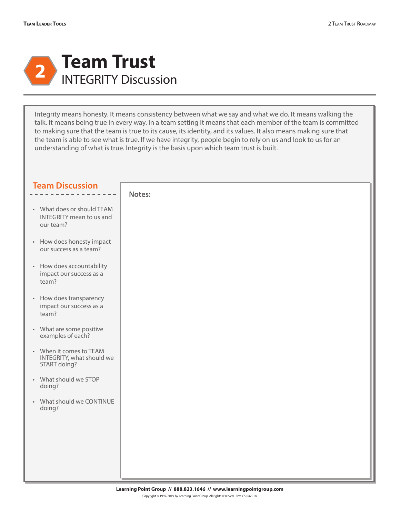

Integrity means honesty. It means consistency between what we say and what we do. It means walking the talk. It means being true in every way. In a team setting it means that each member of the team is committed to making sure that the team is true to its cause, its identity, and its values. It also means making sure that the team is able to see what is true. If we have integrity, people begin to rely on us and look to us for an understanding of what is true. Integrity is the basis upon which team trust is built.

| Notes:<br>• What does or should TEAM<br><b>INTEGRITY</b> mean to us and<br>our team?<br>• How does honesty impact<br>our success as a team?<br>• How does accountability<br>impact our success as a<br>team?<br>• How does transparency<br>impact our success as a<br>team? |  |
|-----------------------------------------------------------------------------------------------------------------------------------------------------------------------------------------------------------------------------------------------------------------------------|--|
|                                                                                                                                                                                                                                                                             |  |
|                                                                                                                                                                                                                                                                             |  |
|                                                                                                                                                                                                                                                                             |  |
|                                                                                                                                                                                                                                                                             |  |
|                                                                                                                                                                                                                                                                             |  |
| • What are some positive<br>examples of each?                                                                                                                                                                                                                               |  |
| • When it comes to TEAM<br>INTEGRITY, what should we<br>START doing?                                                                                                                                                                                                        |  |
| • What should we STOP<br>doing?                                                                                                                                                                                                                                             |  |
| • What should we CONTINUE<br>doing?                                                                                                                                                                                                                                         |  |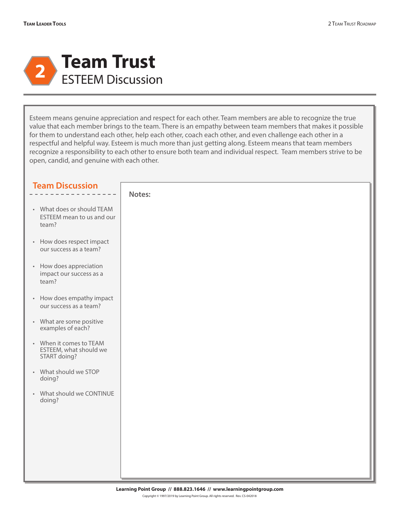

Esteem means genuine appreciation and respect for each other. Team members are able to recognize the true value that each member brings to the team. There is an empathy between team members that makes it possible for them to understand each other, help each other, coach each other, and even challenge each other in a respectful and helpful way. Esteem is much more than just getting along. Esteem means that team members recognize a responsibility to each other to ensure both team and individual respect. Team members strive to be open, candid, and genuine with each other.

| <b>Team Discussion</b>                                            |        |
|-------------------------------------------------------------------|--------|
|                                                                   | Notes: |
| • What does or should TEAM<br>ESTEEM mean to us and our<br>team?  |        |
| • How does respect impact<br>our success as a team?               |        |
| • How does appreciation<br>impact our success as a<br>team?       |        |
| • How does empathy impact<br>our success as a team?               |        |
| • What are some positive<br>examples of each?                     |        |
| • When it comes to TEAM<br>ESTEEM, what should we<br>START doing? |        |
| • What should we STOP<br>doing?                                   |        |
| • What should we CONTINUE<br>doing?                               |        |
|                                                                   |        |
|                                                                   |        |
|                                                                   |        |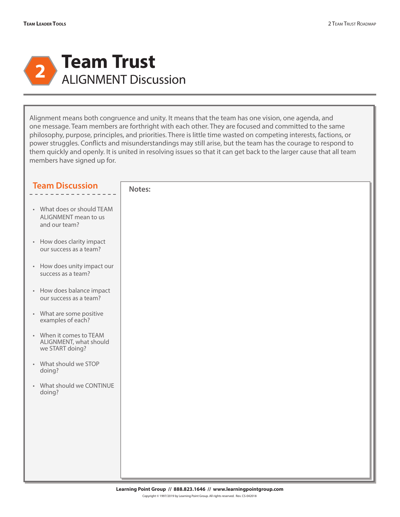

Alignment means both congruence and unity. It means that the team has one vision, one agenda, and one message. Team members are forthright with each other. They are focused and committed to the same philosophy, purpose, principles, and priorities. There is little time wasted on competing interests, factions, or power struggles. Conflicts and misunderstandings may still arise, but the team has the courage to respond to them quickly and openly. It is united in resolving issues so that it can get back to the larger cause that all team members have signed up for.

| <b>Team Discussion</b>                                               | Notes: |
|----------------------------------------------------------------------|--------|
| • What does or should TEAM<br>ALIGNMENT mean to us<br>and our team?  |        |
| • How does clarity impact<br>our success as a team?                  |        |
| • How does unity impact our<br>success as a team?                    |        |
| • How does balance impact<br>our success as a team?                  |        |
| • What are some positive<br>examples of each?                        |        |
| • When it comes to TEAM<br>ALIGNMENT, what should<br>we START doing? |        |
| • What should we STOP<br>doing?                                      |        |
| • What should we CONTINUE<br>doing?                                  |        |
|                                                                      |        |
|                                                                      |        |
|                                                                      |        |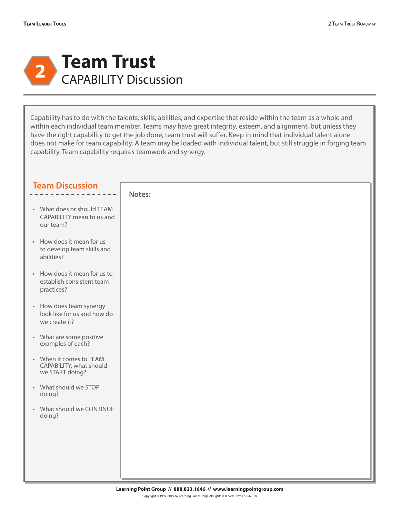

Capability has to do with the talents, skills, abilities, and expertise that reside within the team as a whole and within each individual team member. Teams may have great integrity, esteem, and alignment, but unless they have the right capability to get the job done, team trust will suffer. Keep in mind that individual talent alone does not make for team capability. A team may be loaded with individual talent, but still struggle in forging team capability. Team capability requires teamwork and synergy.

| <b>Team Discussion</b>                                                  |        |
|-------------------------------------------------------------------------|--------|
|                                                                         | Notes: |
| • What does or should TEAM<br>CAPABILITY mean to us and<br>our team?    |        |
| • How does it mean for us<br>to develop team skills and<br>abilities?   |        |
| • How does it mean for us to<br>establish consistent team<br>practices? |        |
| • How does team synergy<br>look like for us and how do<br>we create it? |        |
| • What are some positive<br>examples of each?                           |        |
| • When it comes to TEAM<br>CAPABILITY, what should<br>we START doing?   |        |
| • What should we STOP<br>doing?                                         |        |
| • What should we CONTINUE<br>doing?                                     |        |
|                                                                         |        |
|                                                                         |        |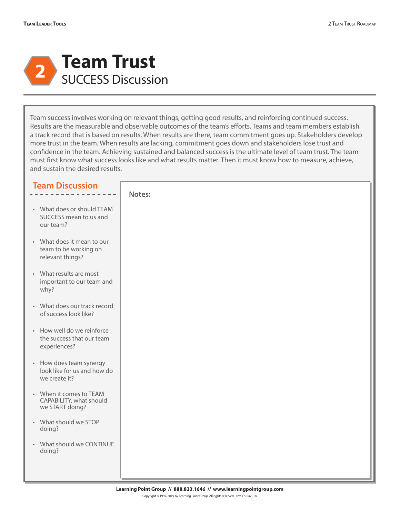

Team success involves working on relevant things, getting good results, and reinforcing continued success. Results are the measurable and observable outcomes of the team's efforts. Teams and team members establish a track record that is based on results. When results are there, team commitment goes up. Stakeholders develop more trust in the team. When results are lacking, commitment goes down and stakeholders lose trust and confidence in the team. Achieving sustained and balanced success is the ultimate level of team trust. The team must first know what success looks like and what results matter. Then it must know how to measure, achieve, and sustain the desired results.

| <b>Team Discussion</b>                                                  |        |
|-------------------------------------------------------------------------|--------|
|                                                                         | Notes: |
| • What does or should TEAM<br>SUCCESS mean to us and<br>our team?       |        |
| • What does it mean to our<br>team to be working on<br>relevant things? |        |
| • What results are most<br>important to our team and<br>why?            |        |
| • What does our track record<br>of success look like?                   |        |
| • How well do we reinforce<br>the success that our team<br>experiences? |        |
| • How does team synergy<br>look like for us and how do<br>we create it? |        |
| • When it comes to TEAM<br>CAPABILITY, what should<br>we START doing?   |        |
| • What should we STOP<br>doing?                                         |        |
| • What should we CONTINUE<br>doing?                                     |        |